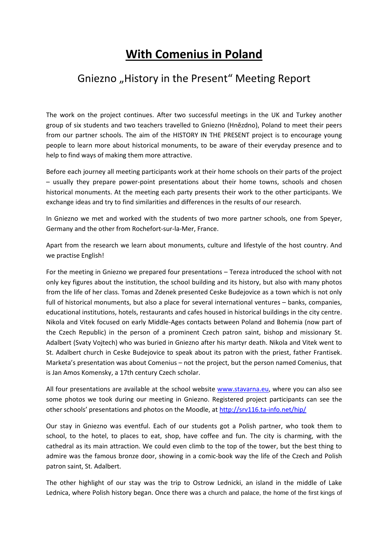## **With Comenius in Poland**

## Gniezno "History in the Present" Meeting Report

The work on the project continues. After two successful meetings in the UK and Turkey another group of six students and two teachers travelled to Gniezno (Hnězdno), Poland to meet their peers from our partner schools. The aim of the HISTORY IN THE PRESENT project is to encourage young people to learn more about historical monuments, to be aware of their everyday presence and to help to find ways of making them more attractive.

Before each journey all meeting participants work at their home schools on their parts of the project – usually they prepare power-point presentations about their home towns, schools and chosen historical monuments. At the meeting each party presents their work to the other participants. We exchange ideas and try to find similarities and differences in the results of our research.

In Gniezno we met and worked with the students of two more partner schools, one from Speyer, Germany and the other from Rochefort-sur-la-Mer, France.

Apart from the research we learn about monuments, culture and lifestyle of the host country. And we practise English!

For the meeting in Gniezno we prepared four presentations – Tereza introduced the school with not only key figures about the institution, the school building and its history, but also with many photos from the life of her class. Tomas and Zdenek presented Ceske Budejovice as a town which is not only full of historical monuments, but also a place for several international ventures – banks, companies, educational institutions, hotels, restaurants and cafes housed in historical buildings in the city centre. Nikola and Vitek focused on early Middle-Ages contacts between Poland and Bohemia (now part of the Czech Republic) in the person of a prominent Czech patron saint, bishop and missionary St. Adalbert (Svaty Vojtech) who was buried in Gniezno after his martyr death. Nikola and Vitek went to St. Adalbert church in Ceske Budejovice to speak about its patron with the priest, father Frantisek. Marketa's presentation was about Comenius – not the project, but the person named Comenius, that is Jan Amos Komensky, a 17th century Czech scholar.

All four presentations are available at the school website www.stavarna.eu, where you can also see some photos we took during our meeting in Gniezno. Registered project participants can see the other schools' presentations and photos on the Moodle, at http://srv116.ta-info.net/hip/

Our stay in Gniezno was eventful. Each of our students got a Polish partner, who took them to school, to the hotel, to places to eat, shop, have coffee and fun. The city is charming, with the cathedral as its main attraction. We could even climb to the top of the tower, but the best thing to admire was the famous bronze door, showing in a comic-book way the life of the Czech and Polish patron saint, St. Adalbert.

The other highlight of our stay was the trip to Ostrow Lednicki, an island in the middle of Lake Lednica, where Polish history began. Once there was a church and palace, the home of the first kings of